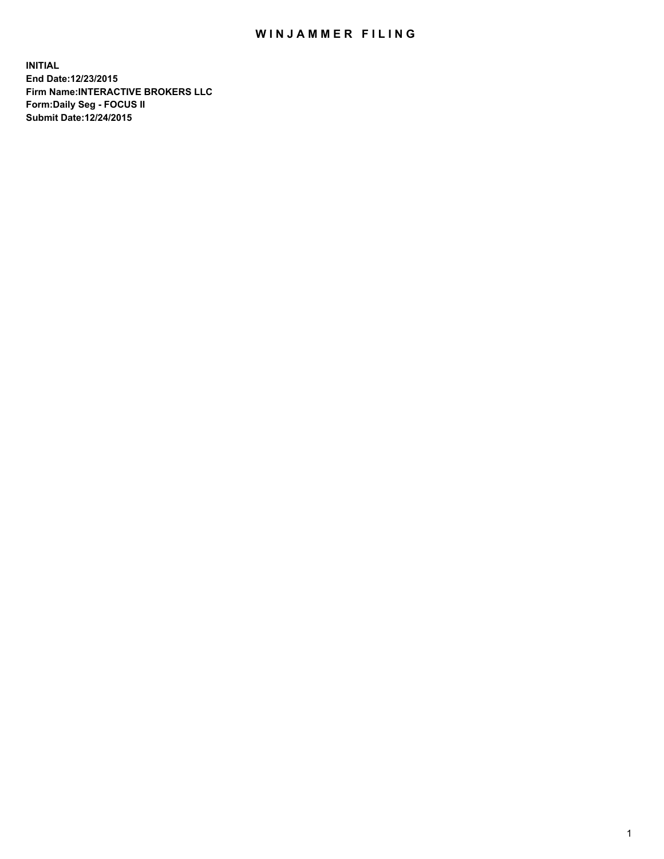## WIN JAMMER FILING

**INITIAL End Date:12/23/2015 Firm Name:INTERACTIVE BROKERS LLC Form:Daily Seg - FOCUS II Submit Date:12/24/2015**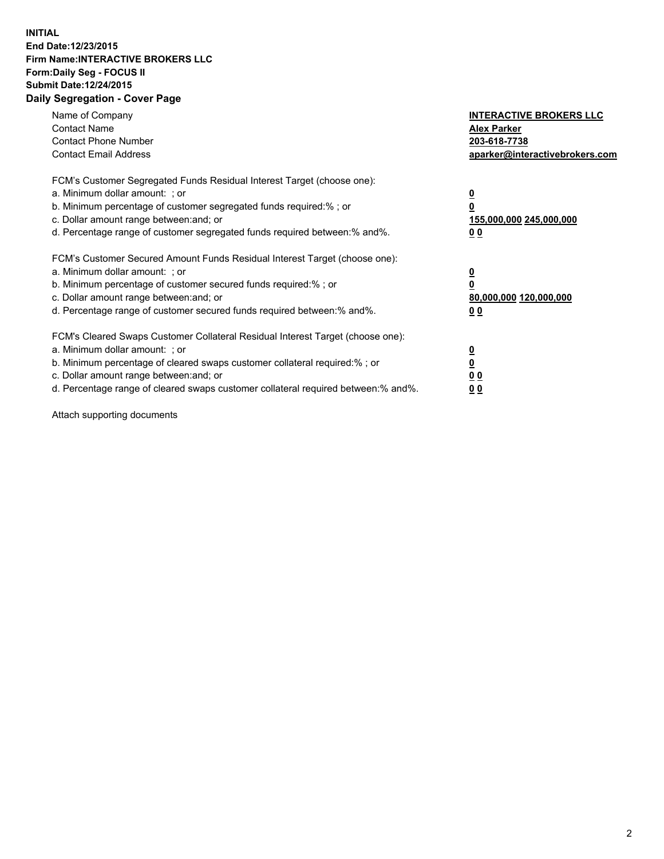## **INITIAL End Date:12/23/2015 Firm Name:INTERACTIVE BROKERS LLC Form:Daily Seg - FOCUS II Submit Date:12/24/2015 Daily Segregation - Cover Page**

| Name of Company<br><b>Contact Name</b><br><b>Contact Phone Number</b><br><b>Contact Email Address</b>                                                                                                                                                                                                                          | <b>INTERACTIVE BROKERS LLC</b><br><b>Alex Parker</b><br>203-618-7738<br>aparker@interactivebrokers.com |
|--------------------------------------------------------------------------------------------------------------------------------------------------------------------------------------------------------------------------------------------------------------------------------------------------------------------------------|--------------------------------------------------------------------------------------------------------|
| FCM's Customer Segregated Funds Residual Interest Target (choose one):<br>a. Minimum dollar amount: ; or<br>b. Minimum percentage of customer segregated funds required:% ; or<br>c. Dollar amount range between: and; or<br>d. Percentage range of customer segregated funds required between:% and%.                         | <u>0</u><br>155,000,000 245,000,000<br><u>00</u>                                                       |
| FCM's Customer Secured Amount Funds Residual Interest Target (choose one):<br>a. Minimum dollar amount: ; or<br>b. Minimum percentage of customer secured funds required:%; or<br>c. Dollar amount range between: and; or<br>d. Percentage range of customer secured funds required between:% and%.                            | $\overline{\mathbf{0}}$<br>80,000,000 120,000,000<br>0 <sub>0</sub>                                    |
| FCM's Cleared Swaps Customer Collateral Residual Interest Target (choose one):<br>a. Minimum dollar amount: ; or<br>b. Minimum percentage of cleared swaps customer collateral required:% ; or<br>c. Dollar amount range between: and; or<br>d. Percentage range of cleared swaps customer collateral required between:% and%. | <u>0</u><br>0 <sub>0</sub><br>0 <sub>0</sub>                                                           |

Attach supporting documents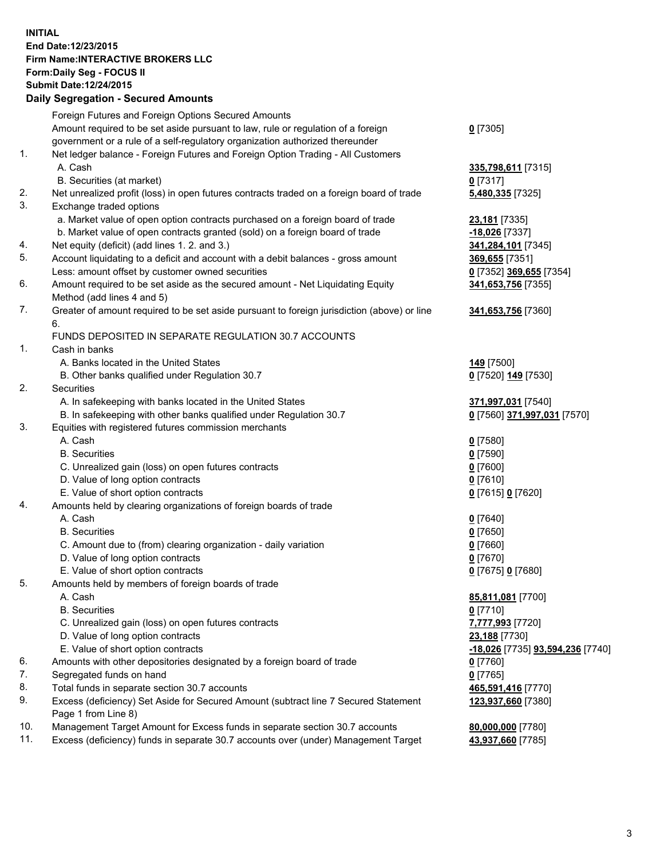## **INITIAL End Date:12/23/2015 Firm Name:INTERACTIVE BROKERS LLC Form:Daily Seg - FOCUS II Submit Date:12/24/2015 Daily Segregation - Secured Amounts**

|     | <b>Dany Ocgregation - Occarea Amounts</b>                                                                                            |                                  |
|-----|--------------------------------------------------------------------------------------------------------------------------------------|----------------------------------|
|     | Foreign Futures and Foreign Options Secured Amounts                                                                                  |                                  |
|     | Amount required to be set aside pursuant to law, rule or regulation of a foreign                                                     | $0$ [7305]                       |
|     | government or a rule of a self-regulatory organization authorized thereunder                                                         |                                  |
| 1.  | Net ledger balance - Foreign Futures and Foreign Option Trading - All Customers                                                      |                                  |
|     | A. Cash                                                                                                                              | 335,798,611 [7315]               |
|     | B. Securities (at market)                                                                                                            | $0$ [7317]                       |
| 2.  | Net unrealized profit (loss) in open futures contracts traded on a foreign board of trade                                            | 5,480,335 [7325]                 |
| 3.  | Exchange traded options                                                                                                              |                                  |
|     | a. Market value of open option contracts purchased on a foreign board of trade                                                       | 23,181 [7335]                    |
|     | b. Market value of open contracts granted (sold) on a foreign board of trade                                                         | -18,026 [7337]                   |
| 4.  | Net equity (deficit) (add lines 1.2. and 3.)                                                                                         | 341,284,101 [7345]               |
| 5.  | Account liquidating to a deficit and account with a debit balances - gross amount                                                    | 369,655 [7351]                   |
|     | Less: amount offset by customer owned securities                                                                                     | 0 [7352] 369,655 [7354]          |
| 6.  | Amount required to be set aside as the secured amount - Net Liquidating Equity                                                       | 341,653,756 [7355]               |
|     | Method (add lines 4 and 5)                                                                                                           |                                  |
| 7.  | Greater of amount required to be set aside pursuant to foreign jurisdiction (above) or line                                          | 341,653,756 [7360]               |
|     | 6.                                                                                                                                   |                                  |
|     | FUNDS DEPOSITED IN SEPARATE REGULATION 30.7 ACCOUNTS                                                                                 |                                  |
| 1.  | Cash in banks                                                                                                                        |                                  |
|     | A. Banks located in the United States                                                                                                | <b>149</b> [7500]                |
|     | B. Other banks qualified under Regulation 30.7                                                                                       | 0 [7520] 149 [7530]              |
| 2.  | Securities                                                                                                                           |                                  |
|     | A. In safekeeping with banks located in the United States                                                                            | 371,997,031 [7540]               |
|     | B. In safekeeping with other banks qualified under Regulation 30.7                                                                   | 0 [7560] 371,997,031 [7570]      |
| 3.  | Equities with registered futures commission merchants                                                                                |                                  |
|     | A. Cash                                                                                                                              | $0$ [7580]                       |
|     | <b>B.</b> Securities                                                                                                                 | $0$ [7590]                       |
|     | C. Unrealized gain (loss) on open futures contracts                                                                                  | $0$ [7600]                       |
|     | D. Value of long option contracts                                                                                                    | $0$ [7610]                       |
|     | E. Value of short option contracts                                                                                                   | 0 [7615] 0 [7620]                |
| 4.  | Amounts held by clearing organizations of foreign boards of trade                                                                    |                                  |
|     | A. Cash                                                                                                                              | $0$ [7640]                       |
|     | <b>B.</b> Securities                                                                                                                 | $0$ [7650]                       |
|     | C. Amount due to (from) clearing organization - daily variation                                                                      | $0$ [7660]                       |
|     | D. Value of long option contracts                                                                                                    | $0$ [7670]                       |
|     | E. Value of short option contracts                                                                                                   | 0 [7675] 0 [7680]                |
| 5.  | Amounts held by members of foreign boards of trade                                                                                   |                                  |
|     | A. Cash                                                                                                                              | 85,811,081 [7700]                |
|     | <b>B.</b> Securities                                                                                                                 | $0$ [7710]                       |
|     | C. Unrealized gain (loss) on open futures contracts                                                                                  | 7,777,993 [7720]                 |
|     | D. Value of long option contracts<br>E. Value of short option contracts                                                              | 23,188 [7730]                    |
| 6.  |                                                                                                                                      | -18,026 [7735] 93,594,236 [7740] |
| 7.  | Amounts with other depositories designated by a foreign board of trade                                                               | 0 [7760]                         |
| 8.  | Segregated funds on hand                                                                                                             | $0$ [7765]                       |
| 9.  | Total funds in separate section 30.7 accounts<br>Excess (deficiency) Set Aside for Secured Amount (subtract line 7 Secured Statement | 465,591,416 [7770]               |
|     | Page 1 from Line 8)                                                                                                                  | 123,937,660 [7380]               |
| 10. | Management Target Amount for Excess funds in separate section 30.7 accounts                                                          | 80,000,000 [7780]                |
| 11. | Excess (deficiency) funds in separate 30.7 accounts over (under) Management Target                                                   | 43,937,660 [7785]                |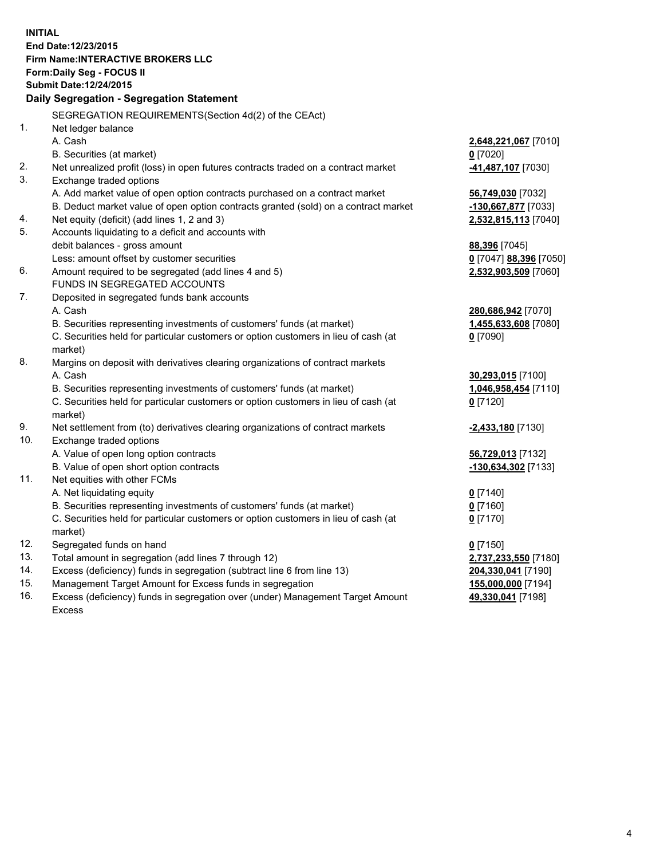**INITIAL End Date:12/23/2015 Firm Name:INTERACTIVE BROKERS LLC Form:Daily Seg - FOCUS II Submit Date:12/24/2015 Daily Segregation - Segregation Statement** SEGREGATION REQUIREMENTS(Section 4d(2) of the CEAct) 1. Net ledger balance A. Cash **2,648,221,067** [7010] B. Securities (at market) **0** [7020] 2. Net unrealized profit (loss) in open futures contracts traded on a contract market **-41,487,107** [7030] 3. Exchange traded options A. Add market value of open option contracts purchased on a contract market **56,749,030** [7032] B. Deduct market value of open option contracts granted (sold) on a contract market **-130,667,877** [7033] 4. Net equity (deficit) (add lines 1, 2 and 3) **2,532,815,113** [7040] 5. Accounts liquidating to a deficit and accounts with debit balances - gross amount **88,396** [7045] Less: amount offset by customer securities **0** [7047] **88,396** [7050] 6. Amount required to be segregated (add lines 4 and 5) **2,532,903,509** [7060] FUNDS IN SEGREGATED ACCOUNTS 7. Deposited in segregated funds bank accounts A. Cash **280,686,942** [7070] B. Securities representing investments of customers' funds (at market) **1,455,633,608** [7080] C. Securities held for particular customers or option customers in lieu of cash (at market) **0** [7090] 8. Margins on deposit with derivatives clearing organizations of contract markets A. Cash **30,293,015** [7100] B. Securities representing investments of customers' funds (at market) **1,046,958,454** [7110] C. Securities held for particular customers or option customers in lieu of cash (at market) **0** [7120] 9. Net settlement from (to) derivatives clearing organizations of contract markets **-2,433,180** [7130] 10. Exchange traded options A. Value of open long option contracts **56,729,013** [7132] B. Value of open short option contracts **-130,634,302** [7133] 11. Net equities with other FCMs A. Net liquidating equity **0** [7140] B. Securities representing investments of customers' funds (at market) **0** [7160] C. Securities held for particular customers or option customers in lieu of cash (at market) **0** [7170] 12. Segregated funds on hand **0** [7150] 13. Total amount in segregation (add lines 7 through 12) **2,737,233,550** [7180] 14. Excess (deficiency) funds in segregation (subtract line 6 from line 13) **204,330,041** [7190] 15. Management Target Amount for Excess funds in segregation **155,000,000** [7194]

16. Excess (deficiency) funds in segregation over (under) Management Target Amount Excess

**49,330,041** [7198]